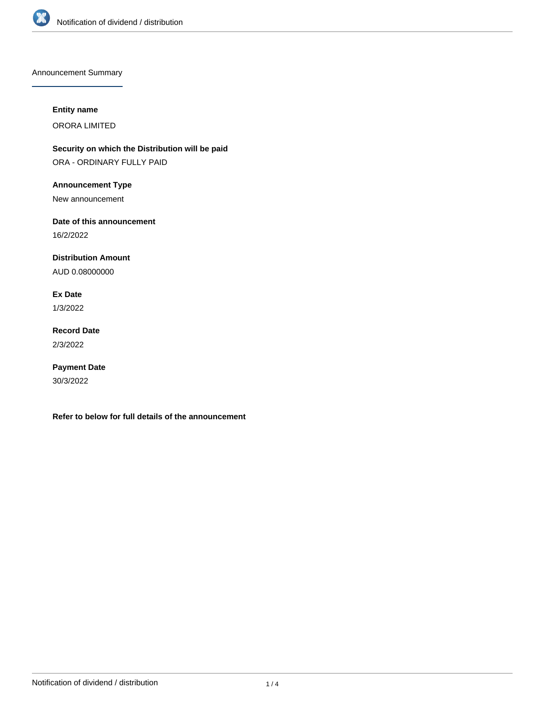

Announcement Summary

### **Entity name**

ORORA LIMITED

**Security on which the Distribution will be paid** ORA - ORDINARY FULLY PAID

**Announcement Type**

New announcement

**Date of this announcement**

16/2/2022

**Distribution Amount**

AUD 0.08000000

**Ex Date**

1/3/2022

**Record Date** 2/3/2022

**Payment Date** 30/3/2022

**Refer to below for full details of the announcement**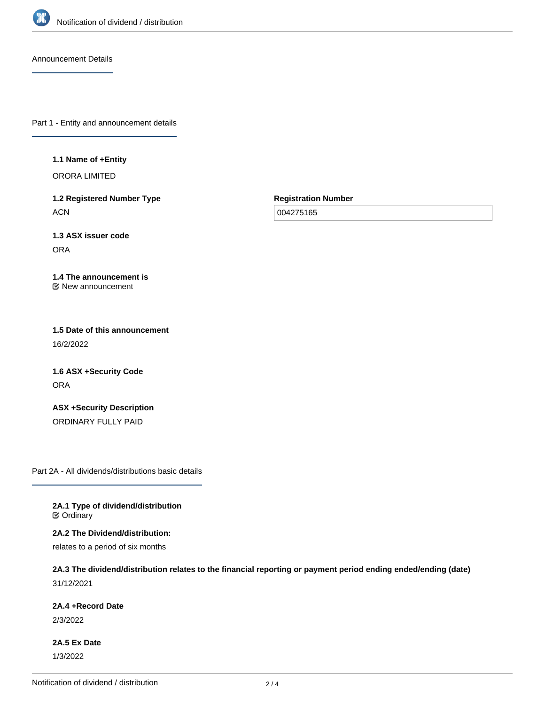

Announcement Details

Part 1 - Entity and announcement details

#### **1.1 Name of +Entity**

ORORA LIMITED

**1.2 Registered Number Type ACN** 

**Registration Number**

004275165

**1.3 ASX issuer code** ORA

#### **1.4 The announcement is** New announcement

**1.5 Date of this announcement** 16/2/2022

**1.6 ASX +Security Code** ORA

**ASX +Security Description** ORDINARY FULLY PAID

Part 2A - All dividends/distributions basic details

**2A.1 Type of dividend/distribution C** Ordinary

**2A.2 The Dividend/distribution:**

relates to a period of six months

## **2A.3 The dividend/distribution relates to the financial reporting or payment period ending ended/ending (date)** 31/12/2021

**2A.4 +Record Date**

2/3/2022

**2A.5 Ex Date** 1/3/2022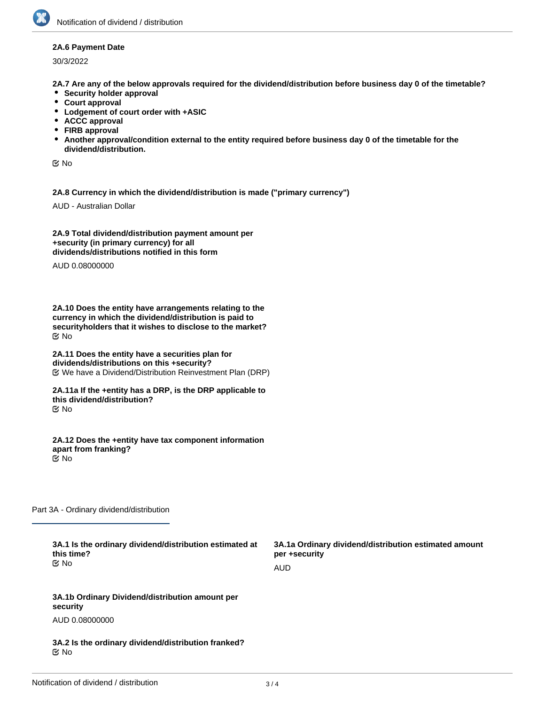### **2A.6 Payment Date**

30/3/2022

**2A.7 Are any of the below approvals required for the dividend/distribution before business day 0 of the timetable?**

- **Security holder approval**
- **Court approval**
- **Lodgement of court order with +ASIC**
- **ACCC approval**
- **FIRB approval**
- **Another approval/condition external to the entity required before business day 0 of the timetable for the dividend/distribution.**

No

**2A.8 Currency in which the dividend/distribution is made ("primary currency")**

AUD - Australian Dollar

**2A.9 Total dividend/distribution payment amount per +security (in primary currency) for all dividends/distributions notified in this form**

AUD 0.08000000

**2A.10 Does the entity have arrangements relating to the currency in which the dividend/distribution is paid to securityholders that it wishes to disclose to the market?** No

**2A.11 Does the entity have a securities plan for dividends/distributions on this +security?** We have a Dividend/Distribution Reinvestment Plan (DRP)

**2A.11a If the +entity has a DRP, is the DRP applicable to this dividend/distribution?** No

**2A.12 Does the +entity have tax component information apart from franking?** No

Part 3A - Ordinary dividend/distribution

**3A.1 Is the ordinary dividend/distribution estimated at this time?** No

**3A.1a Ordinary dividend/distribution estimated amount per +security** AUD

**3A.1b Ordinary Dividend/distribution amount per security**

AUD 0.08000000

**3A.2 Is the ordinary dividend/distribution franked?** No

**3A.3 Percentage of ordinary dividend/distribution that is**